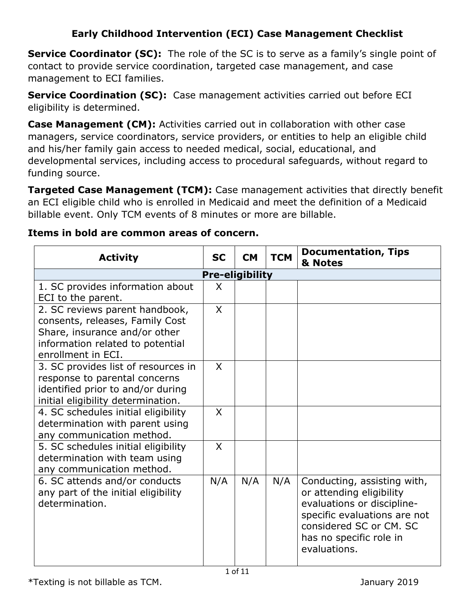## **Early Childhood Intervention (ECI) Case Management Checklist**

**Service Coordinator (SC):** The role of the SC is to serve as a family's single point of contact to provide service coordination, targeted case management, and case management to ECI families.

**Service Coordination (SC):** Case management activities carried out before ECI eligibility is determined.

**Case Management (CM):** Activities carried out in collaboration with other case managers, service coordinators, service providers, or entities to help an eligible child and his/her family gain access to needed medical, social, educational, and developmental services, including access to procedural safeguards, without regard to funding source.

**Targeted Case Management (TCM):** Case management activities that directly benefit an ECI eligible child who is enrolled in Medicaid and meet the definition of a Medicaid billable event. Only TCM events of 8 minutes or more are billable.

| <b>Activity</b>                                                                                                                                              | <b>SC</b>              | <b>CM</b> | <b>TCM</b> | <b>Documentation, Tips</b><br>& Notes                                                                                                                                                       |
|--------------------------------------------------------------------------------------------------------------------------------------------------------------|------------------------|-----------|------------|---------------------------------------------------------------------------------------------------------------------------------------------------------------------------------------------|
|                                                                                                                                                              | <b>Pre-eligibility</b> |           |            |                                                                                                                                                                                             |
| 1. SC provides information about<br>ECI to the parent.                                                                                                       | X                      |           |            |                                                                                                                                                                                             |
| 2. SC reviews parent handbook,<br>consents, releases, Family Cost<br>Share, insurance and/or other<br>information related to potential<br>enrollment in ECI. | $\mathsf{X}$           |           |            |                                                                                                                                                                                             |
| 3. SC provides list of resources in<br>response to parental concerns<br>identified prior to and/or during<br>initial eligibility determination.              | $\mathsf{X}$           |           |            |                                                                                                                                                                                             |
| 4. SC schedules initial eligibility<br>determination with parent using<br>any communication method.                                                          | X                      |           |            |                                                                                                                                                                                             |
| 5. SC schedules initial eligibility<br>determination with team using<br>any communication method.                                                            | $\mathsf{X}$           |           |            |                                                                                                                                                                                             |
| 6. SC attends and/or conducts<br>any part of the initial eligibility<br>determination.                                                                       | N/A                    | N/A       | N/A        | Conducting, assisting with,<br>or attending eligibility<br>evaluations or discipline-<br>specific evaluations are not<br>considered SC or CM. SC<br>has no specific role in<br>evaluations. |

## **Items in bold are common areas of concern.**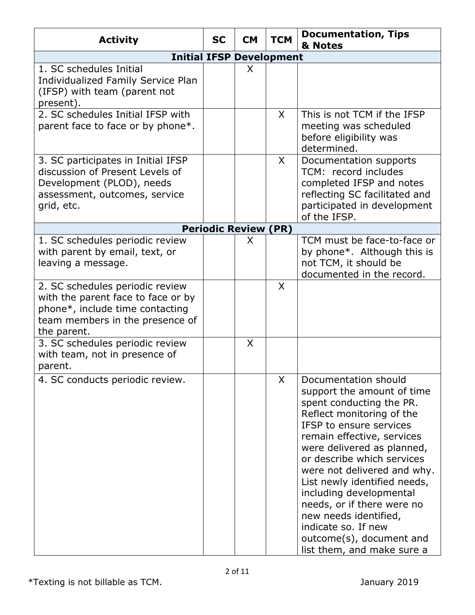| <b>Activity</b>                                                                                                                                            | <b>SC</b>                       | <b>CM</b>                   | <b>TCM</b>   | <b>Documentation, Tips</b><br>& Notes                                                                                                                                                                                                                                                                                                                                                                                                                              |  |  |  |  |
|------------------------------------------------------------------------------------------------------------------------------------------------------------|---------------------------------|-----------------------------|--------------|--------------------------------------------------------------------------------------------------------------------------------------------------------------------------------------------------------------------------------------------------------------------------------------------------------------------------------------------------------------------------------------------------------------------------------------------------------------------|--|--|--|--|
|                                                                                                                                                            | <b>Initial IFSP Development</b> |                             |              |                                                                                                                                                                                                                                                                                                                                                                                                                                                                    |  |  |  |  |
| 1. SC schedules Initial<br>Individualized Family Service Plan<br>(IFSP) with team (parent not<br>present).                                                 |                                 | X                           |              |                                                                                                                                                                                                                                                                                                                                                                                                                                                                    |  |  |  |  |
| 2. SC schedules Initial IFSP with<br>parent face to face or by phone*.                                                                                     |                                 |                             | $\mathsf{X}$ | This is not TCM if the IFSP<br>meeting was scheduled<br>before eligibility was<br>determined.                                                                                                                                                                                                                                                                                                                                                                      |  |  |  |  |
| 3. SC participates in Initial IFSP<br>discussion of Present Levels of<br>Development (PLOD), needs<br>assessment, outcomes, service<br>grid, etc.          |                                 |                             | $\mathsf{X}$ | Documentation supports<br>TCM: record includes<br>completed IFSP and notes<br>reflecting SC facilitated and<br>participated in development<br>of the IFSP.                                                                                                                                                                                                                                                                                                         |  |  |  |  |
|                                                                                                                                                            |                                 | <b>Periodic Review (PR)</b> |              |                                                                                                                                                                                                                                                                                                                                                                                                                                                                    |  |  |  |  |
| 1. SC schedules periodic review<br>with parent by email, text, or<br>leaving a message.                                                                    |                                 | X                           |              | TCM must be face-to-face or<br>by phone*. Although this is<br>not TCM, it should be<br>documented in the record.                                                                                                                                                                                                                                                                                                                                                   |  |  |  |  |
| 2. SC schedules periodic review<br>with the parent face to face or by<br>phone*, include time contacting<br>team members in the presence of<br>the parent. |                                 |                             | X            |                                                                                                                                                                                                                                                                                                                                                                                                                                                                    |  |  |  |  |
| 3. SC schedules periodic review<br>with team, not in presence of<br>parent.                                                                                |                                 | X                           |              |                                                                                                                                                                                                                                                                                                                                                                                                                                                                    |  |  |  |  |
| 4. SC conducts periodic review.                                                                                                                            |                                 |                             | $\mathsf{X}$ | Documentation should<br>support the amount of time<br>spent conducting the PR.<br>Reflect monitoring of the<br>IFSP to ensure services<br>remain effective, services<br>were delivered as planned,<br>or describe which services<br>were not delivered and why.<br>List newly identified needs,<br>including developmental<br>needs, or if there were no<br>new needs identified,<br>indicate so. If new<br>outcome(s), document and<br>list them, and make sure a |  |  |  |  |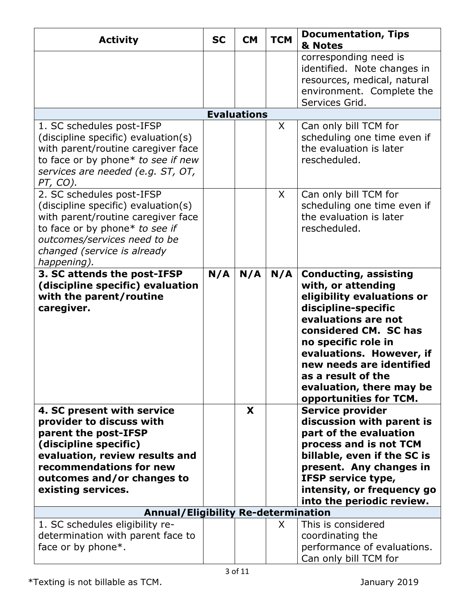| <b>Activity</b>                                                                                                                                                                                                          | <b>SC</b> | <b>CM</b>          | <b>TCM</b> | <b>Documentation, Tips</b><br>& Notes                                                                                                                                                                                                                                                                              |
|--------------------------------------------------------------------------------------------------------------------------------------------------------------------------------------------------------------------------|-----------|--------------------|------------|--------------------------------------------------------------------------------------------------------------------------------------------------------------------------------------------------------------------------------------------------------------------------------------------------------------------|
|                                                                                                                                                                                                                          |           |                    |            | corresponding need is<br>identified. Note changes in<br>resources, medical, natural<br>environment. Complete the<br>Services Grid.                                                                                                                                                                                 |
|                                                                                                                                                                                                                          |           | <b>Evaluations</b> |            |                                                                                                                                                                                                                                                                                                                    |
| 1. SC schedules post-IFSP<br>(discipline specific) evaluation(s)<br>with parent/routine caregiver face<br>to face or by phone* to see if new<br>services are needed (e.g. ST, OT,<br>PT, CO).                            |           |                    | X          | Can only bill TCM for<br>scheduling one time even if<br>the evaluation is later<br>rescheduled.                                                                                                                                                                                                                    |
| 2. SC schedules post-IFSP<br>(discipline specific) evaluation(s)<br>with parent/routine caregiver face<br>to face or by phone* to see if<br>outcomes/services need to be<br>changed (service is already<br>happening).   |           |                    | X          | Can only bill TCM for<br>scheduling one time even if<br>the evaluation is later<br>rescheduled.                                                                                                                                                                                                                    |
| 3. SC attends the post-IFSP<br>(discipline specific) evaluation<br>with the parent/routine<br>caregiver.                                                                                                                 | N/A       | N/A                | N/A        | <b>Conducting, assisting</b><br>with, or attending<br>eligibility evaluations or<br>discipline-specific<br>evaluations are not<br>considered CM. SC has<br>no specific role in<br>evaluations. However, if<br>new needs are identified<br>as a result of the<br>evaluation, there may be<br>opportunities for TCM. |
| 4. SC present with service<br>provider to discuss with<br>parent the post-IFSP<br>(discipline specific)<br>evaluation, review results and<br>recommendations for new<br>outcomes and/or changes to<br>existing services. |           | X                  |            | <b>Service provider</b><br>discussion with parent is<br>part of the evaluation<br>process and is not TCM<br>billable, even if the SC is<br>present. Any changes in<br>IFSP service type,<br>intensity, or frequency go<br>into the periodic review.                                                                |
| <b>Annual/Eligibility Re-determination</b>                                                                                                                                                                               |           |                    |            |                                                                                                                                                                                                                                                                                                                    |
| 1. SC schedules eligibility re-<br>determination with parent face to<br>face or by phone*.                                                                                                                               |           |                    | X          | This is considered<br>coordinating the<br>performance of evaluations.<br>Can only bill TCM for                                                                                                                                                                                                                     |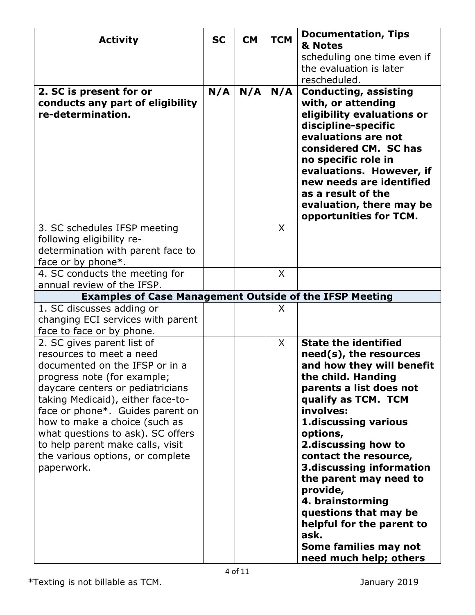| <b>Activity</b>                                                                                                                                                                                                                                                                                                                                                                                  | <b>SC</b> | <b>CM</b> | <b>TCM</b>   | <b>Documentation, Tips</b><br>& Notes                                                                                                                                                                                                                                                                                                                                                                                                                                          |
|--------------------------------------------------------------------------------------------------------------------------------------------------------------------------------------------------------------------------------------------------------------------------------------------------------------------------------------------------------------------------------------------------|-----------|-----------|--------------|--------------------------------------------------------------------------------------------------------------------------------------------------------------------------------------------------------------------------------------------------------------------------------------------------------------------------------------------------------------------------------------------------------------------------------------------------------------------------------|
|                                                                                                                                                                                                                                                                                                                                                                                                  |           |           |              | scheduling one time even if<br>the evaluation is later<br>rescheduled.                                                                                                                                                                                                                                                                                                                                                                                                         |
| 2. SC is present for or<br>conducts any part of eligibility<br>re-determination.                                                                                                                                                                                                                                                                                                                 | N/A       | N/A       | N/A          | <b>Conducting, assisting</b><br>with, or attending<br>eligibility evaluations or<br>discipline-specific<br>evaluations are not<br>considered CM. SC has<br>no specific role in<br>evaluations. However, if<br>new needs are identified<br>as a result of the<br>evaluation, there may be<br>opportunities for TCM.                                                                                                                                                             |
| 3. SC schedules IFSP meeting<br>following eligibility re-<br>determination with parent face to<br>face or by phone*.                                                                                                                                                                                                                                                                             |           |           | X            |                                                                                                                                                                                                                                                                                                                                                                                                                                                                                |
| 4. SC conducts the meeting for<br>annual review of the IFSP.                                                                                                                                                                                                                                                                                                                                     |           |           | X            |                                                                                                                                                                                                                                                                                                                                                                                                                                                                                |
| <b>Examples of Case Management Outside of the IFSP Meeting</b>                                                                                                                                                                                                                                                                                                                                   |           |           |              |                                                                                                                                                                                                                                                                                                                                                                                                                                                                                |
| 1. SC discusses adding or<br>changing ECI services with parent<br>face to face or by phone.                                                                                                                                                                                                                                                                                                      |           |           | X            |                                                                                                                                                                                                                                                                                                                                                                                                                                                                                |
| 2. SC gives parent list of<br>resources to meet a need<br>documented on the IFSP or in a<br>progress note (for example;<br>daycare centers or pediatricians<br>taking Medicaid), either face-to-<br>face or phone*. Guides parent on<br>how to make a choice (such as<br>what questions to ask). SC offers<br>to help parent make calls, visit<br>the various options, or complete<br>paperwork. |           |           | $\mathsf{X}$ | <b>State the identified</b><br>$need(s)$ , the resources<br>and how they will benefit<br>the child. Handing<br>parents a list does not<br>qualify as TCM. TCM<br>involves:<br><b>1.discussing various</b><br>options,<br>2. discussing how to<br>contact the resource,<br>3. discussing information<br>the parent may need to<br>provide,<br>4. brainstorming<br>questions that may be<br>helpful for the parent to<br>ask.<br>Some families may not<br>need much help; others |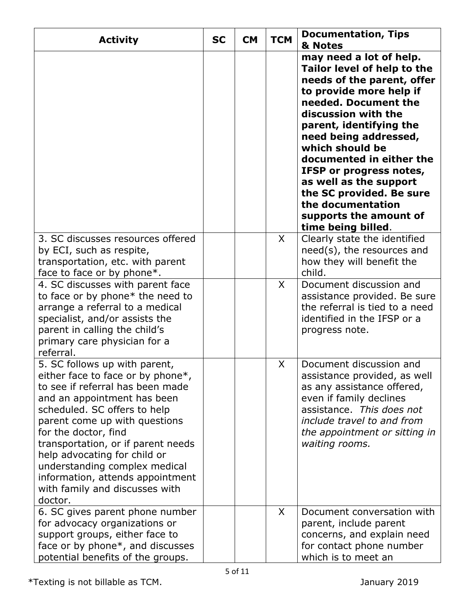| <b>Activity</b>                                                                                                                                                                                                                                                                                                                                                                                                        | <b>SC</b> | <b>CM</b> | <b>TCM</b>   | <b>Documentation, Tips</b><br>& Notes                                                                                                                                                                                                                                                                                                                                                                                   |
|------------------------------------------------------------------------------------------------------------------------------------------------------------------------------------------------------------------------------------------------------------------------------------------------------------------------------------------------------------------------------------------------------------------------|-----------|-----------|--------------|-------------------------------------------------------------------------------------------------------------------------------------------------------------------------------------------------------------------------------------------------------------------------------------------------------------------------------------------------------------------------------------------------------------------------|
|                                                                                                                                                                                                                                                                                                                                                                                                                        |           |           |              | may need a lot of help.<br>Tailor level of help to the<br>needs of the parent, offer<br>to provide more help if<br>needed. Document the<br>discussion with the<br>parent, identifying the<br>need being addressed,<br>which should be<br>documented in either the<br>IFSP or progress notes,<br>as well as the support<br>the SC provided. Be sure<br>the documentation<br>supports the amount of<br>time being billed. |
| 3. SC discusses resources offered<br>by ECI, such as respite,<br>transportation, etc. with parent<br>face to face or by phone*.                                                                                                                                                                                                                                                                                        |           |           | X.           | Clearly state the identified<br>need(s), the resources and<br>how they will benefit the<br>child.                                                                                                                                                                                                                                                                                                                       |
| 4. SC discusses with parent face<br>to face or by phone* the need to<br>arrange a referral to a medical<br>specialist, and/or assists the<br>parent in calling the child's<br>primary care physician for a<br>referral.                                                                                                                                                                                                |           |           | $\mathsf{X}$ | Document discussion and<br>assistance provided. Be sure<br>the referral is tied to a need<br>identified in the IFSP or a<br>progress note.                                                                                                                                                                                                                                                                              |
| 5. SC follows up with parent,<br>either face to face or by phone*,<br>to see if referral has been made<br>and an appointment has been<br>scheduled. SC offers to help<br>parent come up with questions<br>for the doctor, find<br>transportation, or if parent needs<br>help advocating for child or<br>understanding complex medical<br>information, attends appointment<br>with family and discusses with<br>doctor. |           |           | $\mathsf{X}$ | Document discussion and<br>assistance provided, as well<br>as any assistance offered,<br>even if family declines<br>assistance. This does not<br>include travel to and from<br>the appointment or sitting in<br>waiting rooms.                                                                                                                                                                                          |
| 6. SC gives parent phone number<br>for advocacy organizations or<br>support groups, either face to<br>face or by phone*, and discusses<br>potential benefits of the groups.                                                                                                                                                                                                                                            |           |           | X            | Document conversation with<br>parent, include parent<br>concerns, and explain need<br>for contact phone number<br>which is to meet an                                                                                                                                                                                                                                                                                   |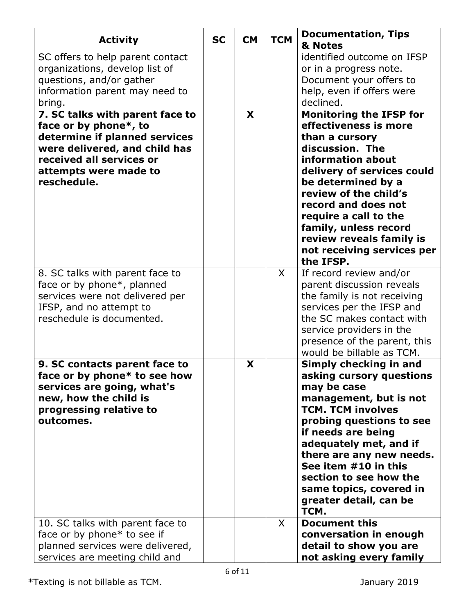| <b>Activity</b>                                                                                                                                                                                  | <b>SC</b> | <b>CM</b> | <b>TCM</b>   | <b>Documentation, Tips</b><br>& Notes                                                                                                                                                                                                                                                                                                                                  |
|--------------------------------------------------------------------------------------------------------------------------------------------------------------------------------------------------|-----------|-----------|--------------|------------------------------------------------------------------------------------------------------------------------------------------------------------------------------------------------------------------------------------------------------------------------------------------------------------------------------------------------------------------------|
| SC offers to help parent contact<br>organizations, develop list of<br>questions, and/or gather<br>information parent may need to<br>bring.                                                       |           |           |              | identified outcome on IFSP<br>or in a progress note.<br>Document your offers to<br>help, even if offers were<br>declined.                                                                                                                                                                                                                                              |
| 7. SC talks with parent face to<br>face or by phone*, to<br>determine if planned services<br>were delivered, and child has<br>received all services or<br>attempts were made to<br>reschedule.   |           | X         |              | <b>Monitoring the IFSP for</b><br>effectiveness is more<br>than a cursory<br>discussion. The<br>information about<br>delivery of services could<br>be determined by a<br>review of the child's<br>record and does not<br>require a call to the<br>family, unless record<br>review reveals family is<br>not receiving services per<br>the IFSP.                         |
| 8. SC talks with parent face to<br>face or by phone*, planned<br>services were not delivered per<br>IFSP, and no attempt to<br>reschedule is documented.                                         |           |           | X            | If record review and/or<br>parent discussion reveals<br>the family is not receiving<br>services per the IFSP and<br>the SC makes contact with<br>service providers in the<br>presence of the parent, this<br>would be billable as TCM.                                                                                                                                 |
| 9. SC contacts parent face to<br>face or by phone* to see how<br>services are going, what's<br>new, how the child is<br>progressing relative to<br>outcomes.<br>10. SC talks with parent face to |           | X         | $\mathsf{X}$ | Simply checking in and<br>asking cursory questions<br>may be case<br>management, but is not<br><b>TCM. TCM involves</b><br>probing questions to see<br>if needs are being<br>adequately met, and if<br>there are any new needs.<br>See item #10 in this<br>section to see how the<br>same topics, covered in<br>greater detail, can be<br>TCM.<br><b>Document this</b> |
| face or by phone* to see if<br>planned services were delivered,<br>services are meeting child and                                                                                                |           |           |              | conversation in enough<br>detail to show you are<br>not asking every family                                                                                                                                                                                                                                                                                            |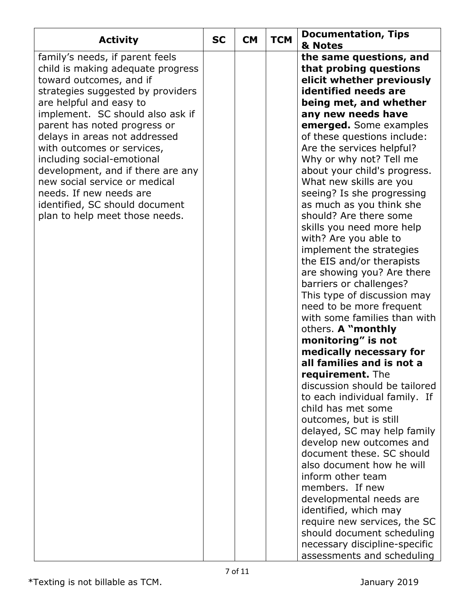| <b>Activity</b>                   | <b>SC</b> | <b>CM</b> | <b>TCM</b> | <b>Documentation, Tips</b>    |
|-----------------------------------|-----------|-----------|------------|-------------------------------|
|                                   |           |           |            | & Notes                       |
| family's needs, if parent feels   |           |           |            | the same questions, and       |
| child is making adequate progress |           |           |            | that probing questions        |
| toward outcomes, and if           |           |           |            | elicit whether previously     |
| strategies suggested by providers |           |           |            | identified needs are          |
| are helpful and easy to           |           |           |            | being met, and whether        |
| implement. SC should also ask if  |           |           |            | any new needs have            |
| parent has noted progress or      |           |           |            | emerged. Some examples        |
| delays in areas not addressed     |           |           |            | of these questions include:   |
| with outcomes or services,        |           |           |            | Are the services helpful?     |
| including social-emotional        |           |           |            | Why or why not? Tell me       |
| development, and if there are any |           |           |            | about your child's progress.  |
| new social service or medical     |           |           |            | What new skills are you       |
| needs. If new needs are           |           |           |            | seeing? Is she progressing    |
| identified, SC should document    |           |           |            | as much as you think she      |
| plan to help meet those needs.    |           |           |            | should? Are there some        |
|                                   |           |           |            | skills you need more help     |
|                                   |           |           |            | with? Are you able to         |
|                                   |           |           |            | implement the strategies      |
|                                   |           |           |            | the EIS and/or therapists     |
|                                   |           |           |            | are showing you? Are there    |
|                                   |           |           |            | barriers or challenges?       |
|                                   |           |           |            | This type of discussion may   |
|                                   |           |           |            | need to be more frequent      |
|                                   |           |           |            | with some families than with  |
|                                   |           |           |            | others. A "monthly            |
|                                   |           |           |            | monitoring" is not            |
|                                   |           |           |            | medically necessary for       |
|                                   |           |           |            | all families and is not a     |
|                                   |           |           |            | requirement. The              |
|                                   |           |           |            | discussion should be tailored |
|                                   |           |           |            | to each individual family. If |
|                                   |           |           |            | child has met some            |
|                                   |           |           |            | outcomes, but is still        |
|                                   |           |           |            | delayed, SC may help family   |
|                                   |           |           |            | develop new outcomes and      |
|                                   |           |           |            | document these. SC should     |
|                                   |           |           |            | also document how he will     |
|                                   |           |           |            | inform other team             |
|                                   |           |           |            | members. If new               |
|                                   |           |           |            | developmental needs are       |
|                                   |           |           |            | identified, which may         |
|                                   |           |           |            | require new services, the SC  |
|                                   |           |           |            | should document scheduling    |
|                                   |           |           |            | necessary discipline-specific |
|                                   |           |           |            | assessments and scheduling    |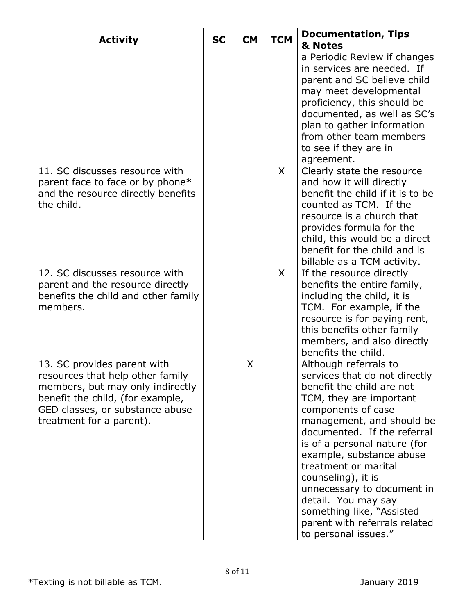| <b>Activity</b>                                                                                                                                                                                        | <b>SC</b> | <b>CM</b> | <b>TCM</b>   | <b>Documentation, Tips</b><br>& Notes                                                                                                                                                                                                                                                                                                                                                                                                                 |
|--------------------------------------------------------------------------------------------------------------------------------------------------------------------------------------------------------|-----------|-----------|--------------|-------------------------------------------------------------------------------------------------------------------------------------------------------------------------------------------------------------------------------------------------------------------------------------------------------------------------------------------------------------------------------------------------------------------------------------------------------|
|                                                                                                                                                                                                        |           |           |              | a Periodic Review if changes<br>in services are needed. If<br>parent and SC believe child<br>may meet developmental<br>proficiency, this should be<br>documented, as well as SC's<br>plan to gather information<br>from other team members<br>to see if they are in<br>agreement.                                                                                                                                                                     |
| 11. SC discusses resource with<br>parent face to face or by phone*<br>and the resource directly benefits<br>the child.                                                                                 |           |           | $\mathsf{X}$ | Clearly state the resource<br>and how it will directly<br>benefit the child if it is to be<br>counted as TCM. If the<br>resource is a church that<br>provides formula for the<br>child, this would be a direct<br>benefit for the child and is<br>billable as a TCM activity.                                                                                                                                                                         |
| 12. SC discusses resource with<br>parent and the resource directly<br>benefits the child and other family<br>members.                                                                                  |           |           | $\mathsf{X}$ | If the resource directly<br>benefits the entire family,<br>including the child, it is<br>TCM. For example, if the<br>resource is for paying rent,<br>this benefits other family<br>members, and also directly<br>benefits the child.                                                                                                                                                                                                                  |
| 13. SC provides parent with<br>resources that help other family<br>members, but may only indirectly<br>benefit the child, (for example,<br>GED classes, or substance abuse<br>treatment for a parent). |           | X         |              | Although referrals to<br>services that do not directly<br>benefit the child are not<br>TCM, they are important<br>components of case<br>management, and should be<br>documented. If the referral<br>is of a personal nature (for<br>example, substance abuse<br>treatment or marital<br>counseling), it is<br>unnecessary to document in<br>detail. You may say<br>something like, "Assisted<br>parent with referrals related<br>to personal issues." |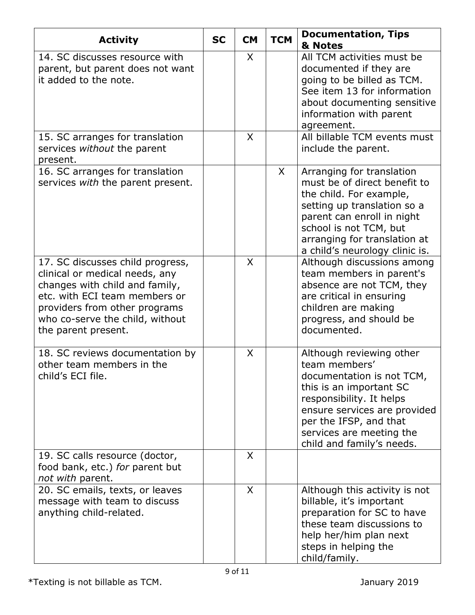| <b>Activity</b>                                                                                                                                                                                                                  | <b>SC</b> | <b>CM</b> | <b>TCM</b>   | <b>Documentation, Tips</b><br>& Notes                                                                                                                                                                                                            |
|----------------------------------------------------------------------------------------------------------------------------------------------------------------------------------------------------------------------------------|-----------|-----------|--------------|--------------------------------------------------------------------------------------------------------------------------------------------------------------------------------------------------------------------------------------------------|
| 14. SC discusses resource with<br>parent, but parent does not want<br>it added to the note.                                                                                                                                      |           | X         |              | All TCM activities must be<br>documented if they are<br>going to be billed as TCM.<br>See item 13 for information<br>about documenting sensitive<br>information with parent<br>agreement.                                                        |
| 15. SC arranges for translation<br>services without the parent<br>present.                                                                                                                                                       |           | X         |              | All billable TCM events must<br>include the parent.                                                                                                                                                                                              |
| 16. SC arranges for translation<br>services with the parent present.                                                                                                                                                             |           |           | $\mathsf{X}$ | Arranging for translation<br>must be of direct benefit to<br>the child. For example,<br>setting up translation so a<br>parent can enroll in night<br>school is not TCM, but<br>arranging for translation at<br>a child's neurology clinic is.    |
| 17. SC discusses child progress,<br>clinical or medical needs, any<br>changes with child and family,<br>etc. with ECI team members or<br>providers from other programs<br>who co-serve the child, without<br>the parent present. |           | X         |              | Although discussions among<br>team members in parent's<br>absence are not TCM, they<br>are critical in ensuring<br>children are making<br>progress, and should be<br>documented.                                                                 |
| 18. SC reviews documentation by<br>other team members in the<br>child's ECI file.                                                                                                                                                |           | X         |              | Although reviewing other<br>team members'<br>documentation is not TCM,<br>this is an important SC<br>responsibility. It helps<br>ensure services are provided<br>per the IFSP, and that<br>services are meeting the<br>child and family's needs. |
| 19. SC calls resource (doctor,<br>food bank, etc.) for parent but<br>not with parent.                                                                                                                                            |           | X         |              |                                                                                                                                                                                                                                                  |
| 20. SC emails, texts, or leaves<br>message with team to discuss<br>anything child-related.                                                                                                                                       |           | X         |              | Although this activity is not<br>billable, it's important<br>preparation for SC to have<br>these team discussions to<br>help her/him plan next<br>steps in helping the<br>child/family.                                                          |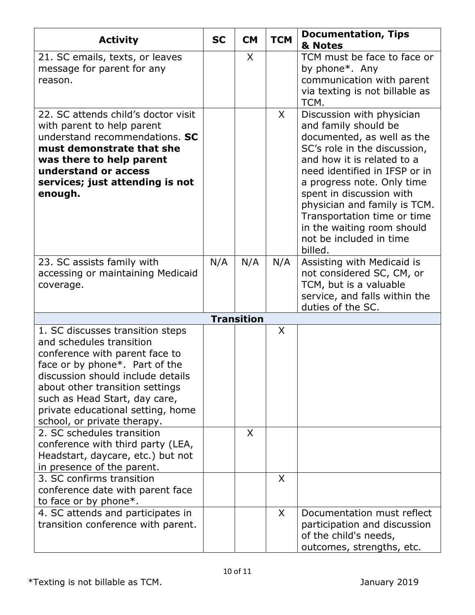| <b>Activity</b>                                                                                                                                                                                                                                                                                               | <b>SC</b> | <b>CM</b>         | <b>TCM</b> | <b>Documentation, Tips</b><br>& Notes                                                                                                                                                                                                                                                                                                                            |
|---------------------------------------------------------------------------------------------------------------------------------------------------------------------------------------------------------------------------------------------------------------------------------------------------------------|-----------|-------------------|------------|------------------------------------------------------------------------------------------------------------------------------------------------------------------------------------------------------------------------------------------------------------------------------------------------------------------------------------------------------------------|
| 21. SC emails, texts, or leaves                                                                                                                                                                                                                                                                               |           | X                 |            | TCM must be face to face or                                                                                                                                                                                                                                                                                                                                      |
| message for parent for any                                                                                                                                                                                                                                                                                    |           |                   |            | by phone*. Any                                                                                                                                                                                                                                                                                                                                                   |
| reason.                                                                                                                                                                                                                                                                                                       |           |                   |            | communication with parent                                                                                                                                                                                                                                                                                                                                        |
|                                                                                                                                                                                                                                                                                                               |           |                   |            | via texting is not billable as<br>TCM.                                                                                                                                                                                                                                                                                                                           |
| 22. SC attends child's doctor visit<br>with parent to help parent<br>understand recommendations. SC<br>must demonstrate that she<br>was there to help parent<br>understand or access<br>services; just attending is not<br>enough.                                                                            |           |                   | $\sf X$    | Discussion with physician<br>and family should be<br>documented, as well as the<br>SC's role in the discussion,<br>and how it is related to a<br>need identified in IFSP or in<br>a progress note. Only time<br>spent in discussion with<br>physician and family is TCM.<br>Transportation time or time<br>in the waiting room should<br>not be included in time |
|                                                                                                                                                                                                                                                                                                               |           |                   |            | billed.                                                                                                                                                                                                                                                                                                                                                          |
| 23. SC assists family with<br>accessing or maintaining Medicaid<br>coverage.                                                                                                                                                                                                                                  | N/A       | N/A               | N/A        | Assisting with Medicaid is<br>not considered SC, CM, or<br>TCM, but is a valuable<br>service, and falls within the<br>duties of the SC.                                                                                                                                                                                                                          |
|                                                                                                                                                                                                                                                                                                               |           | <b>Transition</b> |            |                                                                                                                                                                                                                                                                                                                                                                  |
| 1. SC discusses transition steps<br>and schedules transition<br>conference with parent face to<br>face or by phone*. Part of the<br>discussion should include details<br>about other transition settings<br>such as Head Start, day care,<br>private educational setting, home<br>school, or private therapy. |           |                   | X          |                                                                                                                                                                                                                                                                                                                                                                  |
| 2. SC schedules transition<br>conference with third party (LEA,<br>Headstart, daycare, etc.) but not<br>in presence of the parent.                                                                                                                                                                            |           | $\sf X$           |            |                                                                                                                                                                                                                                                                                                                                                                  |
| 3. SC confirms transition<br>conference date with parent face<br>to face or by phone*.                                                                                                                                                                                                                        |           |                   | X          |                                                                                                                                                                                                                                                                                                                                                                  |
| 4. SC attends and participates in<br>transition conference with parent.                                                                                                                                                                                                                                       |           |                   | $\sf X$    | Documentation must reflect<br>participation and discussion<br>of the child's needs,<br>outcomes, strengths, etc.                                                                                                                                                                                                                                                 |